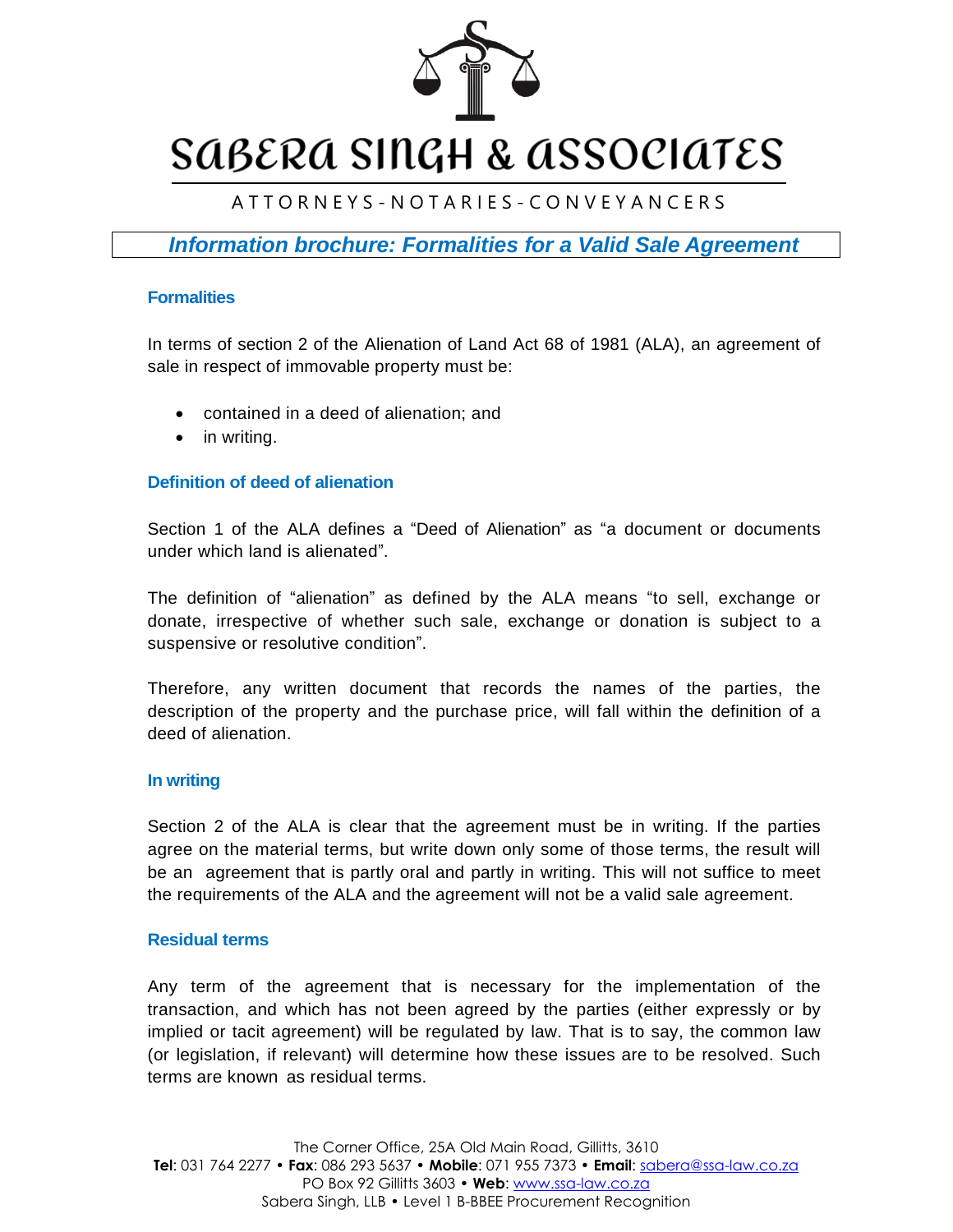

# SABERA SINGH & ASSOCIATES

# A T T O R N E Y S - N O T A R I E S - C O N V E Y A N C E R S

*Information brochure: Formalities for a Valid Sale Agreement* 

# **Formalities**

In terms of section 2 of the Alienation of Land Act 68 of 1981 (ALA), an agreement of sale in respect of immovable property must be:

- contained in a deed of alienation; and
- in writing.

# **Definition of deed of alienation**

Section 1 of the ALA defines a "Deed of Alienation" as "a document or documents under which land is alienated".

The definition of "alienation" as defined by the ALA means "to sell, exchange or donate, irrespective of whether such sale, exchange or donation is subject to a suspensive or resolutive condition".

Therefore, any written document that records the names of the parties, the description of the property and the purchase price, will fall within the definition of a deed of alienation.

#### **In writing**

Section 2 of the ALA is clear that the agreement must be in writing. If the parties agree on the material terms, but write down only some of those terms, the result will be an agreement that is partly oral and partly in writing. This will not suffice to meet the requirements of the ALA and the agreement will not be a valid sale agreement.

# **Residual terms**

Any term of the agreement that is necessary for the implementation of the transaction, and which has not been agreed by the parties (either expressly or by implied or tacit agreement) will be regulated by law. That is to say, the common law (or legislation, if relevant) will determine how these issues are to be resolved. Such terms are known as residual terms.